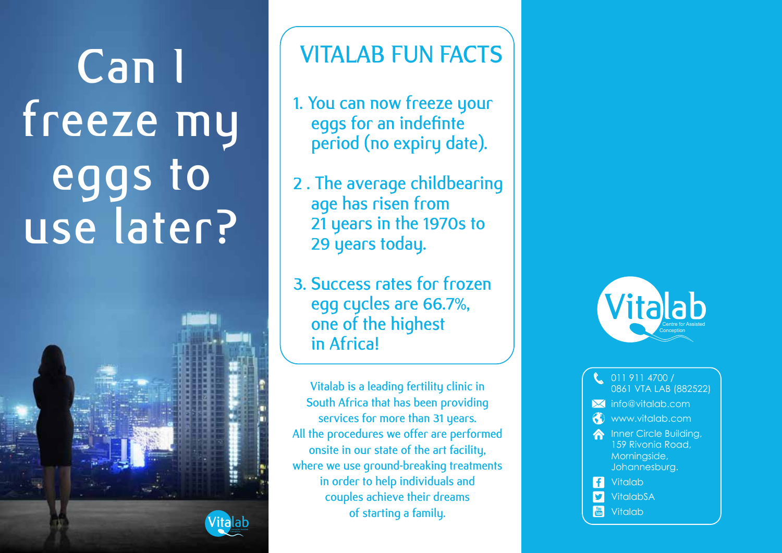Can I freeze my eggs to use later?



# VITALAB FUN FACTS

- 1. You can now freeze your eggs for an indefinte period (no expiry date).
- 2 . The average childbearing age has risen from 21 years in the 1970s to 29 years today.
- 3. Success rates for frozen egg cycles are 66.7%, one of the highest in Africa!

Vitalab is a leading fertility clinic in South Africa that has been providing services for more than 31 years. All the procedures we offer are performed onsite in our state of the art facility, where we use ground-breaking treatments in order to help individuals and couples achieve their dreams of starting a family.